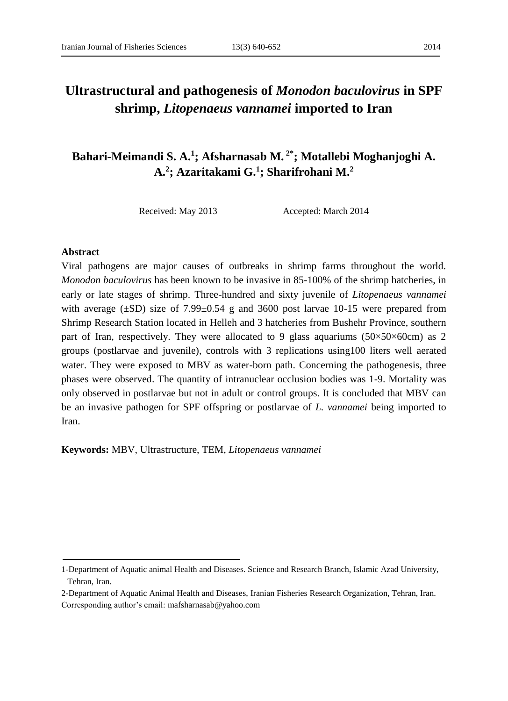# **Ultrastructural and pathogenesis of** *Monodon baculovirus* **in SPF shrimp,** *Litopenaeus vannamei* **imported to Iran**

## **Bahari-Meimandi S. A.<sup>1</sup> ; Afsharnasab M. 2\*; Motallebi Moghanjoghi A. A.<sup>2</sup> ; Azaritakami G.<sup>1</sup> ; Sharifrohani M.<sup>2</sup>**

Received: May 2013 Accepted: March 2014

#### **Abstract**

Viral pathogens are major causes of outbreaks in shrimp farms throughout the world. *Monodon baculovirus* has been known to be invasive in 85-100% of the shrimp hatcheries, in early or late stages of shrimp. Three-hundred and sixty juvenile of *Litopenaeus vannamei* with average  $(\pm SD)$  size of 7.99 $\pm 0.54$  g and 3600 post larvae 10-15 were prepared from Shrimp Research Station located in Helleh and 3 hatcheries from Bushehr Province, southern part of Iran, respectively. They were allocated to 9 glass aquariums  $(50\times50\times60$ cm) as 2 groups (postlarvae and juvenile), controls with 3 replications using100 liters well aerated water. They were exposed to MBV as water-born path. Concerning the pathogenesis, three phases were observed. The quantity of intranuclear occlusion bodies was 1-9. Mortality was only observed in postlarvae but not in adult or control groups. It is concluded that MBV can be an invasive pathogen for SPF offspring or postlarvae of *L. vannamei* being imported to Iran.

**Keywords:** MBV, Ultrastructure, TEM, *Litopenaeus vannamei*

<sup>1-</sup>Department of Aquatic animal Health and Diseases. Science and Research Branch, Islamic Azad University, Tehran, Iran.

<sup>2-</sup>Department of Aquatic Animal Health and Diseases, Iranian Fisheries Research Organization, Tehran, Iran. Corresponding author's email: mafsharnasab@yahoo.com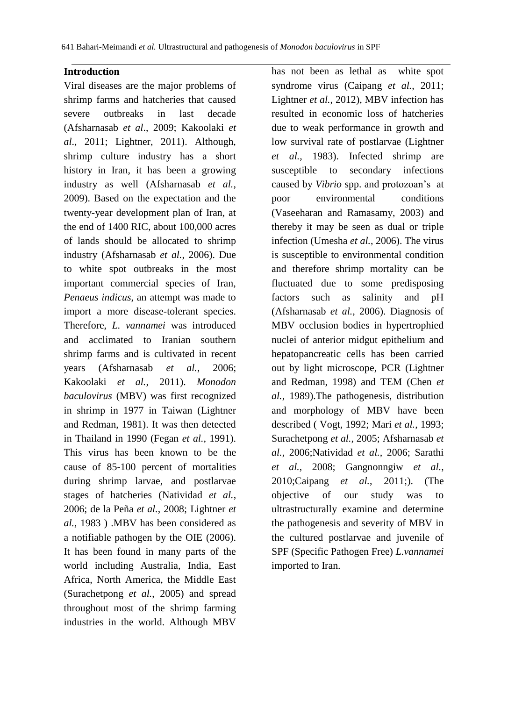#### **Introduction**

Viral diseases are the major problems of shrimp farms and hatcheries that caused severe outbreaks in last decade (Afsharnasab *et al*., 2009; Kakoolaki *et al*., 2011; Lightner, 2011). Although, shrimp culture industry has a short history in Iran, it has been a growing industry as well (Afsharnasab *et al.*, 2009). Based on the expectation and the twenty-year development plan of Iran, at the end of 1400 RIC, about 100,000 acres of lands should be allocated to shrimp industry (Afsharnasab *et al.*, 2006). Due to white spot outbreaks in the most important commercial species of Iran, *Penaeus indicus*, an attempt was made to import a more disease-tolerant species. Therefore, *L. vannamei* was introduced and acclimated to Iranian southern shrimp farms and is cultivated in recent years (Afsharnasab *et al.*, 2006; Kakoolaki *et al.*, 2011). *Monodon baculovirus* (MBV) was first recognized in shrimp in 1977 in Taiwan (Lightner and Redman, 1981). It was then detected in Thailand in 1990 (Fegan *et al.*, 1991). This virus has been known to be the cause of 85-100 percent of mortalities during shrimp larvae, and postlarvae stages of hatcheries (Natividad *et al.*, 2006; de la Peña *et al.*, 2008; Lightner *et al.*, 1983 ) .MBV has been considered as a notifiable pathogen by the OIE (2006). It has been found in many parts of the world including Australia, India, East Africa, North America, the Middle East (Surachetpong *et al.*, 2005) and spread throughout most of the shrimp farming industries in the world. Although MBV

has not been as lethal as white spot syndrome virus (Caipang *et al.*, 2011; Lightner *et al.*, 2012), MBV infection has resulted in economic loss of hatcheries due to weak performance in growth and low survival rate of postlarvae (Lightner *et al.*, 1983). Infected shrimp are susceptible to secondary infections caused by *Vibrio* spp. and protozoan's at poor environmental conditions (Vaseeharan and Ramasamy, 2003) and thereby it may be seen as dual or triple infection (Umesha *et al.*, 2006). The virus is susceptible to environmental condition and therefore shrimp mortality can be fluctuated due to some predisposing factors such as salinity and pH (Afsharnasab *et al.*, 2006). Diagnosis of MBV occlusion bodies in hypertrophied nuclei of anterior midgut epithelium and hepatopancreatic cells has been carried out by light microscope, PCR (Lightner and Redman, 1998) and TEM (Chen *et al.*, 1989).The pathogenesis, distribution and morphology of MBV have been described ( Vogt, 1992; Mari *et al.*, 1993; Surachetpong *et al.*, 2005; Afsharnasab *et al.*, 2006;Natividad *et al.*, 2006; Sarathi *et al.*, 2008; Gangnonngiw *et al.*, 2010;Caipang *et al.*, 2011;). (The objective of our study was to ultrastructurally examine and determine the pathogenesis and severity of MBV in the cultured postlarvae and juvenile of SPF (Specific Pathogen Free) *L.vannamei* imported to Iran.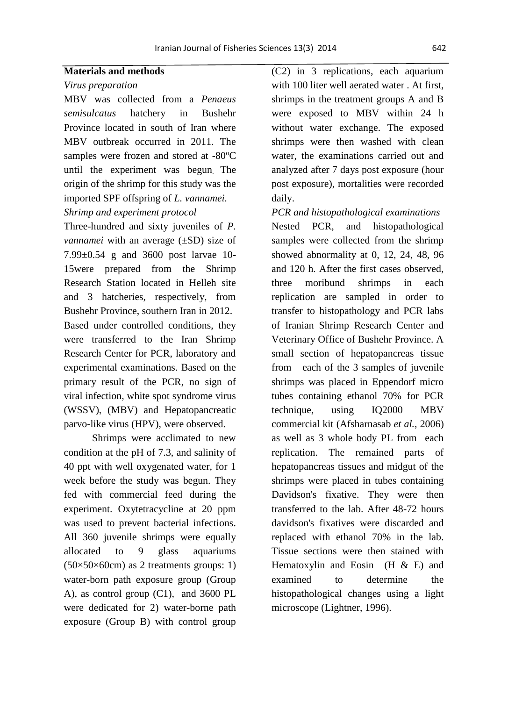#### **Materials and methods**

#### *Virus preparation*

MBV was collected from a *Penaeus semisulcatus* hatchery in Bushehr Province located in south of Iran where MBV outbreak occurred in 2011. The samples were frozen and stored at -80°C until the experiment was begun. The origin of the shrimp for this study was the imported SPF offspring of *L. vannamei. Shrimp and experiment protocol*

Three-hundred and sixty juveniles of *P. vannamei* with an average ( $\pm SD$ ) size of 7.99±0.54 g and 3600 post larvae 10- 15were prepared from the Shrimp Research Station located in Helleh site and 3 hatcheries, respectively, from Bushehr Province, southern Iran in 2012. Based under controlled conditions, they were transferred to the Iran Shrimp

Research Center for PCR, laboratory and experimental examinations. Based on the primary result of the PCR, no sign of viral infection, white spot syndrome virus (WSSV), (MBV) and Hepatopancreatic parvo-like virus (HPV), were observed.

Shrimps were acclimated to new condition at the pH of 7.3, and salinity of 40 ppt with well oxygenated water, for 1 week before the study was begun. They fed with commercial feed during the experiment. Oxytetracycline at 20 ppm was used to prevent bacterial infections. All 360 juvenile shrimps were equally allocated to 9 glass aquariums  $(50\times50\times60$ cm) as 2 treatments groups: 1) water-born path exposure group (Group A), as control group (C1), and 3600 PL were dedicated for 2) water-borne path exposure (Group B) with control group

(C2) in 3 replications, each aquarium with 100 liter well aerated water . At first, shrimps in the treatment groups A and B were exposed to MBV within 24 h without water exchange. The exposed shrimps were then washed with clean water, the examinations carried out and analyzed after 7 days post exposure (hour post exposure), mortalities were recorded daily.

*PCR and histopathological examinations*

Nested PCR, and histopathological samples were collected from the shrimp showed abnormality at 0, 12, 24, 48, 96 and 120 h. After the first cases observed, three moribund shrimps in each replication are sampled in order to transfer to histopathology and PCR labs of Iranian Shrimp Research Center and Veterinary Office of Bushehr Province. A small section of hepatopancreas tissue from each of the 3 samples of juvenile shrimps was placed in Eppendorf micro tubes containing ethanol 70% for PCR technique, using IQ2000 MBV commercial kit (Afsharnasab *et al.*, 2006) as well as 3 whole body PL from each replication. The remained parts of hepatopancreas tissues and midgut of the shrimps were placed in tubes containing Davidson's fixative. They were then transferred to the lab. After 48-72 hours davidson's fixatives were discarded and replaced with ethanol 70% in the lab. Tissue sections were then stained with Hematoxylin and Eosin  $(H & E)$  and examined to determine the histopathological changes using a light microscope (Lightner, 1996).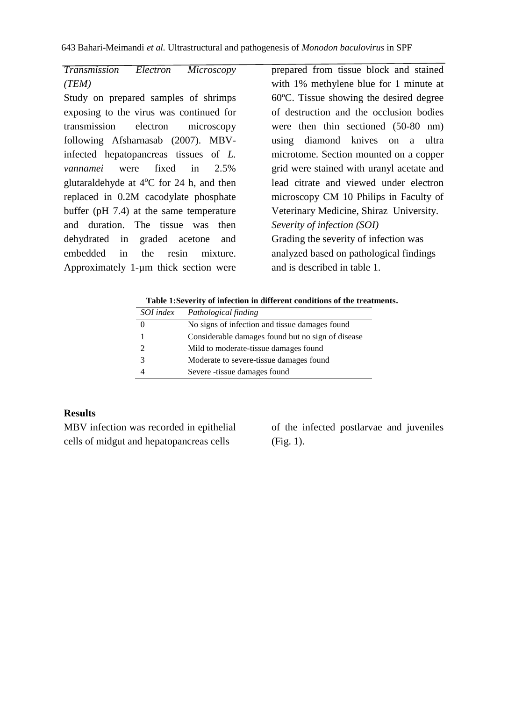## *Transmission Electron Microscopy (TEM)*

Study on prepared samples of shrimps exposing to the virus was continued for transmission electron microscopy following Afsharnasab (2007). MBVinfected hepatopancreas tissues of *L. vannamei* were fixed in 2.5% glutaraldehyde at  $4^{\circ}$ C for 24 h, and then replaced in 0.2M cacodylate phosphate buffer (pH 7.4) at the same temperature and duration. The tissue was then dehydrated in graded acetone and embedded in the resin mixture. Approximately 1-µm thick section were

prepared from tissue block and stained with 1% methylene blue for 1 minute at 60ºC. Tissue showing the desired degree of destruction and the occlusion bodies were then thin sectioned (50-80 nm) using diamond knives on a ultra microtome. Section mounted on a copper grid were stained with uranyl acetate and lead citrate and viewed under electron microscopy CM 10 Philips in Faculty of Veterinary Medicine, Shiraz University. *Severity of infection (SOI)* Grading the severity of infection was analyzed based on pathological findings and is described in table 1.

**Table 1:Severity of infection in different conditions of the treatments.**

| SOI index | Pathological finding                              |
|-----------|---------------------------------------------------|
|           | No signs of infection and tissue damages found    |
|           | Considerable damages found but no sign of disease |
| 2         | Mild to moderate-tissue damages found             |
| 3         | Moderate to severe-tissue damages found           |
|           | Severe -tissue damages found                      |

## **Results**

MBV infection was recorded in epithelial cells of midgut and hepatopancreas cells

of the infected postlarvae and juveniles (Fig. 1).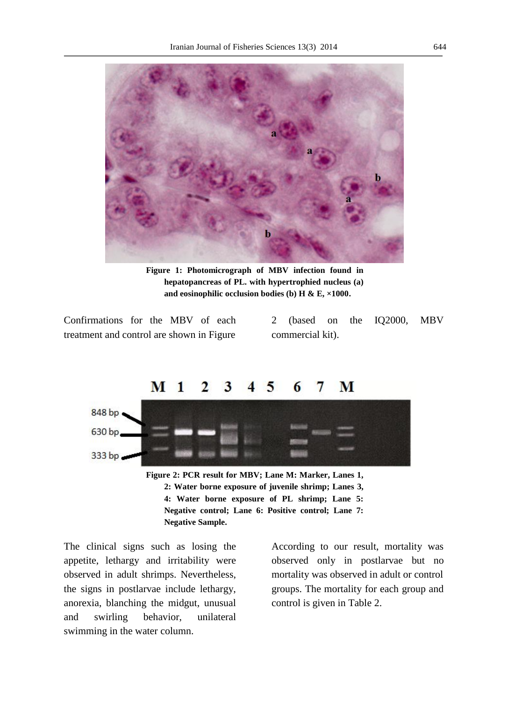

**Figure 1: Photomicrograph of MBV infection found in hepatopancreas of PL. with hypertrophied nucleus (a) and eosinophilic occlusion bodies (b) H & E, ×1000.**

Confirmations for the MBV of each treatment and control are shown in Figure

2 (based on the IQ2000, MBV commercial kit).



**Negative Sample.**

The clinical signs such as losing the appetite, lethargy and irritability were observed in adult shrimps. Nevertheless, the signs in postlarvae include lethargy, anorexia, blanching the midgut, unusual and swirling behavior, unilateral swimming in the water column.

According to our result, mortality was observed only in postlarvae but no mortality was observed in adult or control groups. The mortality for each group and control is given in Table 2.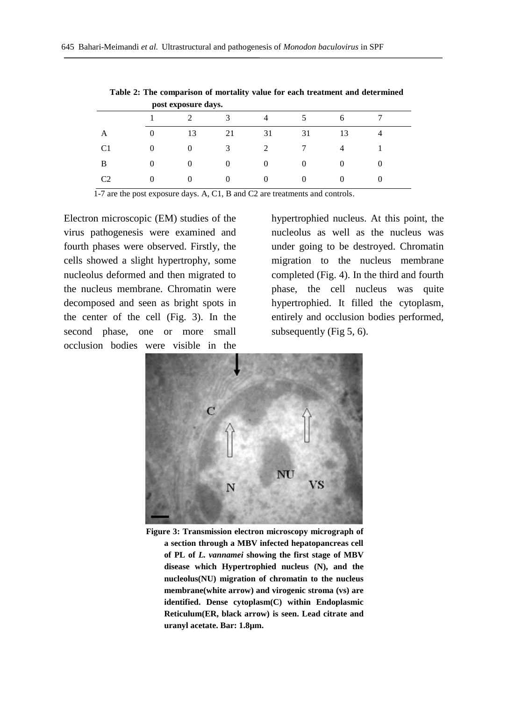|                | post exposure days. |    |          |                |          |    |  |
|----------------|---------------------|----|----------|----------------|----------|----|--|
|                |                     |    | 3        |                |          |    |  |
| A              | $\theta$            | 13 | 21       | 31             | 31       | 13 |  |
| C1             | 0                   |    | 3        | $\mathfrak{D}$ |          |    |  |
| B              | $\Omega$            |    | $\Omega$ | 0              | $\Omega$ |    |  |
| C <sub>2</sub> | $\Omega$            |    | $\Omega$ | O              | $\theta$ |    |  |

**Table 2: The comparison of mortality value for each treatment and determined** 

1-7 are the post exposure days. A, C1, B and C2 are treatments and controls.

Electron microscopic (EM) studies of the virus pathogenesis were examined and fourth phases were observed. Firstly, the cells showed a slight hypertrophy, some nucleolus deformed and then migrated to the nucleus membrane. Chromatin were decomposed and seen as bright spots in the center of the cell (Fig. 3). In the second phase, one or more small occlusion bodies were visible in the

hypertrophied nucleus. At this point, the nucleolus as well as the nucleus was under going to be destroyed. Chromatin migration to the nucleus membrane completed (Fig. 4). In the third and fourth phase, the cell nucleus was quite hypertrophied. It filled the cytoplasm, entirely and occlusion bodies performed, subsequently (Fig 5, 6).



**Figure 3: Transmission electron microscopy micrograph of a section through a MBV infected hepatopancreas cell of PL of** *L. vannamei* **showing the first stage of MBV disease which Hypertrophied nucleus (N), and the nucleolus(NU) migration of chromatin to the nucleus membrane(white arrow) and virogenic stroma (vs) are identified. Dense cytoplasm(C) within Endoplasmic Reticulum(ER, black arrow) is seen. Lead citrate and uranyl acetate. Bar: 1.8µm.**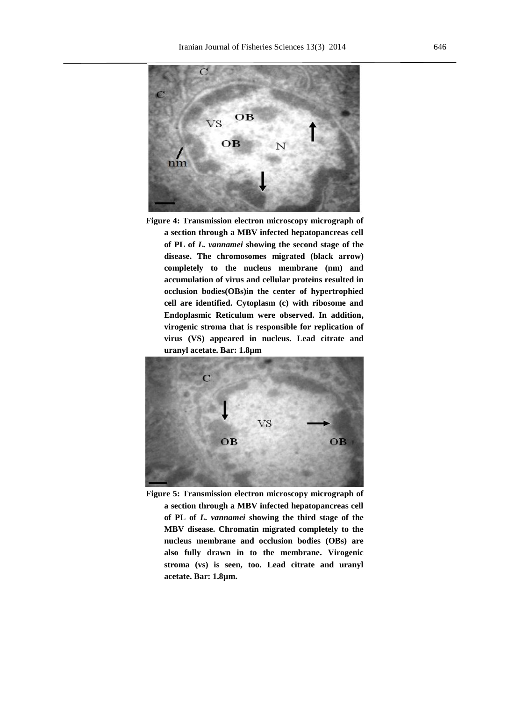

**Figure 4: Transmission electron microscopy micrograph of a section through a MBV infected hepatopancreas cell of PL of** *L. vannamei* **showing the second stage of the disease. The chromosomes migrated (black arrow) completely to the nucleus membrane (nm) and accumulation of virus and cellular proteins resulted in occlusion bodies(OBs)in the center of hypertrophied cell are identified. Cytoplasm (c) with ribosome and Endoplasmic Reticulum were observed. In addition, virogenic stroma that is responsible for replication of virus (VS) appeared in nucleus. Lead citrate and uranyl acetate. Bar: 1.8µm**



**Figure 5: Transmission electron microscopy micrograph of a section through a MBV infected hepatopancreas cell of PL of** *L. vannamei* **showing the third stage of the MBV disease. Chromatin migrated completely to the nucleus membrane and occlusion bodies (OBs) are also fully drawn in to the membrane. Virogenic stroma (vs) is seen, too. Lead citrate and uranyl acetate. Bar: 1.8µm.**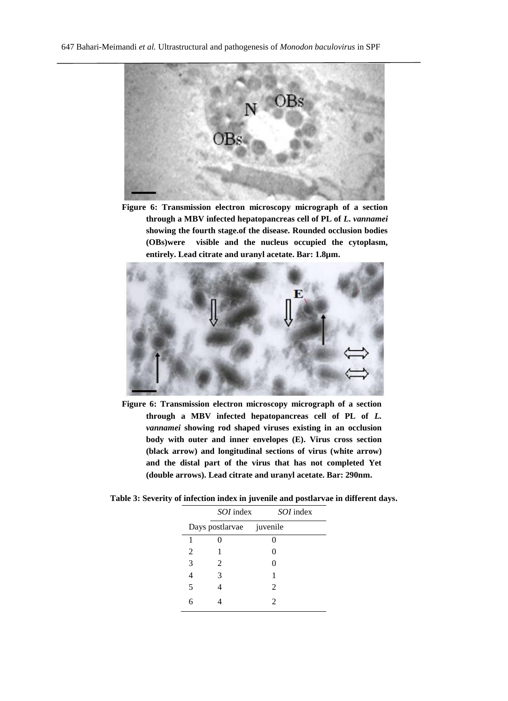

**Figure 6: Transmission electron microscopy micrograph of a section through a MBV infected hepatopancreas cell of PL of** *L. vannamei* **showing the fourth stage.of the disease. Rounded occlusion bodies (OBs)were visible and the nucleus occupied the cytoplasm, entirely. Lead citrate and uranyl acetate. Bar: 1.8µm.**



**Figure 6: Transmission electron microscopy micrograph of a section through a MBV infected hepatopancreas cell of PL of** *L. vannamei* **showing rod shaped viruses existing in an occlusion body with outer and inner envelopes (E). Virus cross section (black arrow) and longitudinal sections of virus (white arrow) and the distal part of the virus that has not completed Yet (double arrows). Lead citrate and uranyl acetate. Bar: 290nm.**

**Table 3: Severity of infection index in juvenile and postlarvae in different days.**

|                          | <i>SOI</i> index | <i>SOI</i> index |  |  |
|--------------------------|------------------|------------------|--|--|
| Days postlarvae juvenile |                  |                  |  |  |
|                          |                  |                  |  |  |
| 2                        |                  | 0                |  |  |
| 3                        | 2                | 0                |  |  |
| 4                        | 3                |                  |  |  |
| 5                        |                  | $\mathfrak{D}$   |  |  |
|                          |                  | 2                |  |  |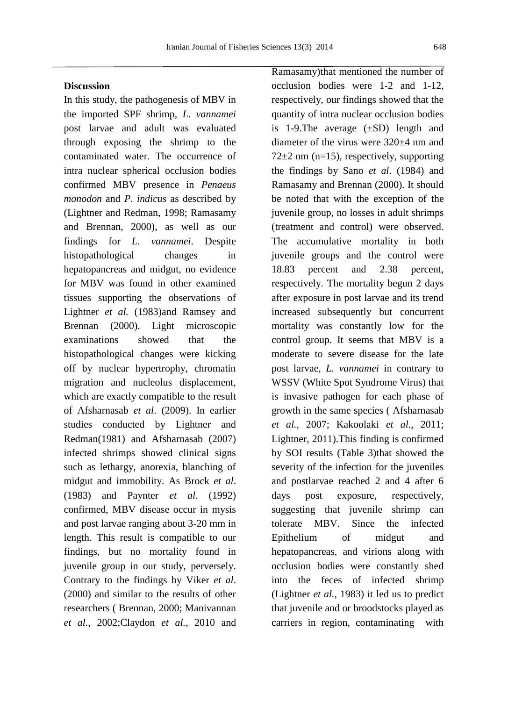### **Discussion**

In this study, the pathogenesis of MBV in the imported SPF shrimp, *L. vannamei* post larvae and adult was evaluated through exposing the shrimp to the contaminated water. The occurrence of intra nuclear spherical occlusion bodies confirmed MBV presence in *Penaeus monodon* and *P. indicus* as described by (Lightner and Redman, 1998; Ramasamy and Brennan, 2000), as well as our findings for *L. vannamei*. Despite histopathological changes in hepatopancreas and midgut, no evidence for MBV was found in other examined tissues supporting the observations of Lightner *et al.* (1983)and Ramsey and Brennan (2000). Light microscopic examinations showed that the histopathological changes were kicking off by nuclear hypertrophy, chromatin migration and nucleolus displacement, which are exactly compatible to the result of Afsharnasab *et al*. (2009). In earlier studies conducted by Lightner and Redman(1981) and Afsharnasab (2007) infected shrimps showed clinical signs such as lethargy, anorexia, blanching of midgut and immobility. As Brock *et al*. (1983) and Paynter *et al.* (1992) confirmed, MBV disease occur in mysis and post larvae ranging about 3-20 mm in length. This result is compatible to our findings, but no mortality found in juvenile group in our study, perversely. Contrary to the findings by Viker *et al*. (2000) and similar to the results of other researchers ( Brennan, 2000; Manivannan *et al.*, 2002;Claydon *et al.*, 2010 and Ramasamy)that mentioned the number of occlusion bodies were 1-2 and 1-12, respectively, our findings showed that the quantity of intra nuclear occlusion bodies is 1-9. The average  $(\pm SD)$  length and diameter of the virus were 320±4 nm and  $72\pm2$  nm (n=15), respectively, supporting the findings by Sano *et al*. (1984) and Ramasamy and Brennan (2000). It should be noted that with the exception of the juvenile group, no losses in adult shrimps (treatment and control) were observed. The accumulative mortality in both juvenile groups and the control were 18.83 percent and 2.38 percent, respectively. The mortality begun 2 days after exposure in post larvae and its trend increased subsequently but concurrent mortality was constantly low for the control group. It seems that MBV is a moderate to severe disease for the late post larvae, *L. vannamei* in contrary to WSSV (White Spot Syndrome Virus) that is invasive pathogen for each phase of growth in the same species ( Afsharnasab *et al.*, 2007; Kakoolaki *et al.*, 2011; Lightner, 2011).This finding is confirmed by SOI results (Table 3)that showed the severity of the infection for the juveniles and postlarvae reached 2 and 4 after 6 days post exposure, respectively, suggesting that juvenile shrimp can tolerate MBV. Since the infected Epithelium of midgut and hepatopancreas, and virions along with occlusion bodies were constantly shed into the feces of infected shrimp (Lightner *et al.*, 1983) it led us to predict that juvenile and or broodstocks played as carriers in region, contaminating with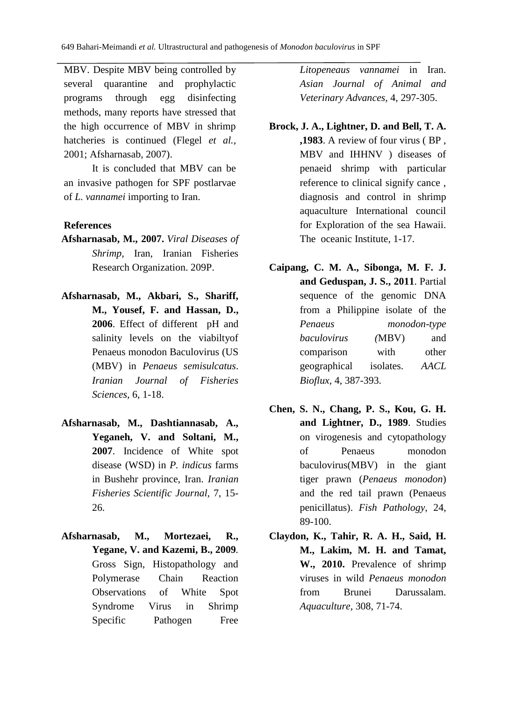MBV. Despite MBV being controlled by several quarantine and prophylactic programs through egg disinfecting methods, many reports have stressed that the high occurrence of MBV in shrimp hatcheries is continued (Flegel *et al.*, 2001; Afsharnasab, 2007).

It is concluded that MBV can be an invasive pathogen for SPF postlarvae of *L. vannamei* importing to Iran.

#### **References**

- **Afsharnasab, M., 2007.** *Viral Diseases of Shrimp,* Iran, Iranian Fisheries Research Organization. 209P.
- **Afsharnasab, M., Akbari, S., Shariff, M., Yousef, F. and Hassan, D., 2006**. Effect of different pH and salinity levels on the viabiltyof Penaeus monodon Baculovirus (US (MBV) in *Penaeus semisulcatus*. *Iranian Journal of Fisheries Sciences,* 6, 1-18.
- **Afsharnasab, M., Dashtiannasab, A., Yeganeh, V. and Soltani, M., 2007**. Incidence of White spot disease (WSD) in *P. indicus* farms in Bushehr province, Iran. *Iranian Fisheries Scientific Journal,* 7, 15- 26.
- **Afsharnasab, M., Mortezaei, R., Yegane, V. and Kazemi, B., 2009***.* Gross Sign, Histopathology and Polymerase Chain Reaction Observations of White Spot Syndrome Virus in Shrimp Specific Pathogen Free

*Litopeneaus vannamei* in Iran. *Asian Journal of Animal and Veterinary Advances,* 4, 297-305.

- **Brock, J. A., Lightner, D. and Bell, T. A. ,1983**. A review of four virus ( BP , MBV and IHHNV ) diseases of penaeid shrimp with particular reference to clinical signify cance , diagnosis and control in shrimp aquaculture International council for Exploration of the sea Hawaii. The oceanic Institute, 1-17.
- **Caipang, C. M. A., Sibonga, M. F. J. and Geduspan, J. S., 2011**. Partial sequence of the genomic DNA from a Philippine isolate of the *Penaeus monodon*-*type baculovirus (*MBV) and comparison with other geographical isolates. *AACL Bioflux,* 4, 387-393.
- **Chen, S. N., Chang, P. S., Kou, G. H. and Lightner, D., 1989**. Studies on virogenesis and cytopathology of Penaeus monodon baculovirus(MBV) in the giant tiger prawn (*Penaeus monodon*) and the red tail prawn (Penaeus penicillatus). *Fish Pathology,* 24, 89-100.
- **Claydon, K., Tahir, R. A. H., Said, H. M., Lakim, M. H. and Tamat, W., 2010.** Prevalence of shrimp viruses in wild *Penaeus monodon* from Brunei Darussalam. *Aquaculture,* 308, 71-74.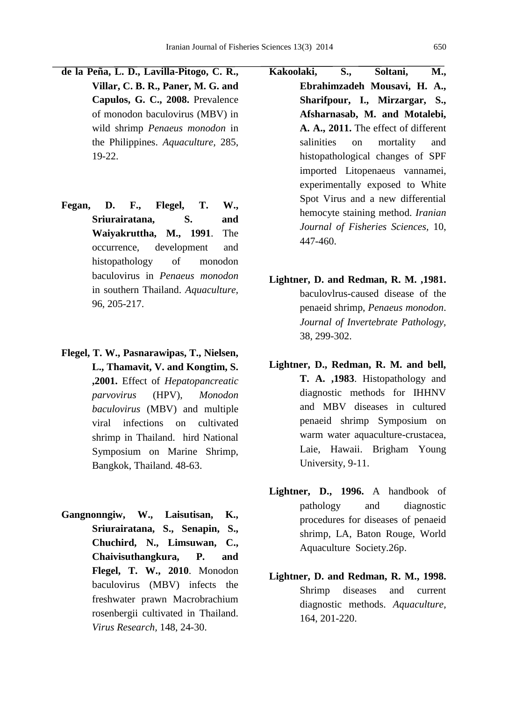- **de la Peña, L. D., Lavilla-Pitogo, C. R., Villar, C. B. R., Paner, M. G. and Capulos, G. C., 2008.** Prevalence of monodon baculovirus (MBV) in wild shrimp *Penaeus monodon* in the Philippines. *Aquaculture,* 285, 19-22.
- **Fegan, D. F., Flegel, T. W., Sriurairatana, S. and Waiyakruttha, M., 1991**. The occurrence, development and histopathology of monodon baculovirus in *Penaeus monodon* in southern Thailand. *Aquaculture,* 96, 205-217.
- **Flegel, T. W., Pasnarawipas, T., Nielsen, L., Thamavit, V. and Kongtim, S. ,2001.** Effect of *Hepatopancreatic parvovirus* (HPV), *Monodon baculovirus* (MBV) and multiple viral infections on cultivated shrimp in Thailand. hird National Symposium on Marine Shrimp, Bangkok, Thailand. 48-63.
- **Gangnonngiw, W., Laisutisan, K., Sriurairatana, S., Senapin, S., Chuchird, N., Limsuwan, C., Chaivisuthangkura, P. and Flegel, T. W., 2010**. Monodon baculovirus (MBV) infects the freshwater prawn Macrobrachium rosenbergii cultivated in Thailand. *Virus Research,* 148, 24-30.
- **Kakoolaki, S., Soltani, M., Ebrahimzadeh Mousavi, H. A., Sharifpour, I., Mirzargar, S., Afsharnasab, M. and Motalebi, A. A., 2011.** The effect of different salinities on mortality and histopathological changes of SPF imported Litopenaeus vannamei, experimentally exposed to White Spot Virus and a new differential hemocyte staining method. *Iranian Journal of Fisheries Sciences,* 10, 447-460.
- **Lightner, D. and Redman, R. M. ,1981.** baculovlrus-caused disease of the penaeid shrimp, *Penaeus monodon*. *Journal of Invertebrate Pathology,* 38, 299-302.
- **Lightner, D., Redman, R. M. and bell, T. A. ,1983**. Histopathology and diagnostic methods for IHHNV and MBV diseases in cultured penaeid shrimp Symposium on warm water aquaculture-crustacea, Laie, Hawaii. Brigham Young University, 9-11.
- **Lightner, D., 1996.** A handbook of pathology and diagnostic procedures for diseases of penaeid shrimp*,* LA, Baton Rouge, World Aquaculture Society.26p.
- **Lightner, D. and Redman, R. M., 1998.**  Shrimp diseases and current diagnostic methods. *Aquaculture,* 164, 201-220.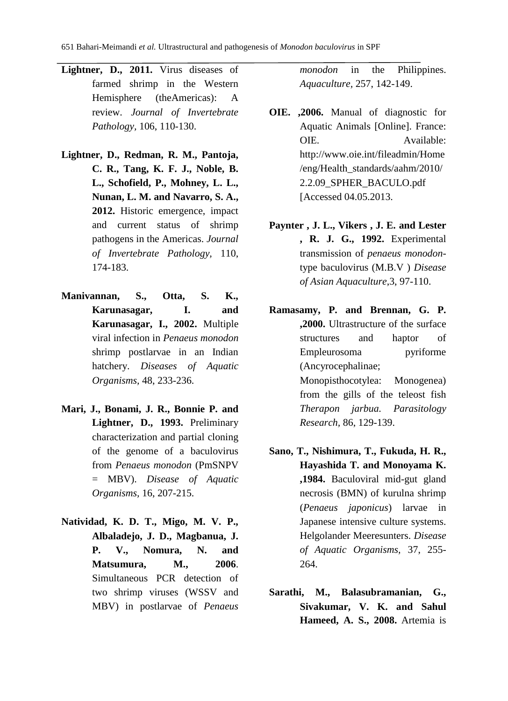- **Lightner, D., 2011.** Virus diseases of farmed shrimp in the Western Hemisphere (theAmericas): A review. *Journal of Invertebrate Pathology,* 106, 110-130.
- **Lightner, D., Redman, R. M., Pantoja, C. R., Tang, K. F. J., Noble, B. L., Schofield, P., Mohney, L. L., Nunan, L. M. and Navarro, S. A., 2012.** Historic emergence, impact and current status of shrimp pathogens in the Americas. *Journal of Invertebrate Pathology,* 110, 174-183.
- **Manivannan, S., Otta, S. K., Karunasagar, I. and Karunasagar, I., 2002.** Multiple viral infection in *Penaeus monodon* shrimp postlarvae in an Indian hatchery. *Diseases of Aquatic Organisms,* 48, 233-236.
- **Mari, J., Bonami, J. R., Bonnie P. and Lightner, D., 1993.** Preliminary characterization and partial cloning of the genome of a baculovirus from *Penaeus monodon* (PmSNPV = MBV). *Disease of Aquatic Organisms,* 16, 207-215.
- **Natividad, K. D. T., Migo, M. V. P., Albaladejo, J. D., Magbanua, J. P. V., Nomura, N. and Matsumura, M., 2006**. Simultaneous PCR detection of two shrimp viruses (WSSV and MBV) in postlarvae of *Penaeus*

*monodon* in the Philippines. *Aquaculture,* 257, 142-149.

- **OIE. ,2006.** Manual of diagnostic for Aquatic Animals [Online]. France: OIE. Available: [http://www.oie.int/fileadmin/Home](http://www.oie.int/fileadmin/Home/eng/Health_standards/aahm/2010/2.2.09_SPHER_BACULO.pdf) [/eng/Health\\_standards/aahm/2010/](http://www.oie.int/fileadmin/Home/eng/Health_standards/aahm/2010/2.2.09_SPHER_BACULO.pdf) [2.2.09\\_SPHER\\_BACULO.pdf](http://www.oie.int/fileadmin/Home/eng/Health_standards/aahm/2010/2.2.09_SPHER_BACULO.pdf) [Accessed 04.05.2013.
- **Paynter , J. L., Vikers , J. E. and Lester , R. J. G., 1992.** Experimental transmission of *penaeus monodon*type baculovirus (M.B.V ) *Disease of Asian Aquaculture*,3, 97-110.
- **Ramasamy, P. and Brennan, G. P. ,2000.** Ultrastructure of the surface structures and haptor of Empleurosoma pyriforme (Ancyrocephalinae; Monopisthocotylea: Monogenea) from the gills of the teleost fish *Therapon jarbua. Parasitology Research,* 86, 129-139.
- **Sano, T., Nishimura, T., Fukuda, H. R., Hayashida T. and Monoyama K. ,1984.** Baculoviral mid-gut gland necrosis (BMN) of kurulna shrimp (*Penaeus japonicus*) larvae in Japanese intensive culture systems. Helgolander Meeresunters. *Disease of Aquatic Organisms,* 37, 255- 264.
- **Sarathi, M., Balasubramanian, G., Sivakumar, V. K. and Sahul Hameed, A. S., 2008.** Artemia is